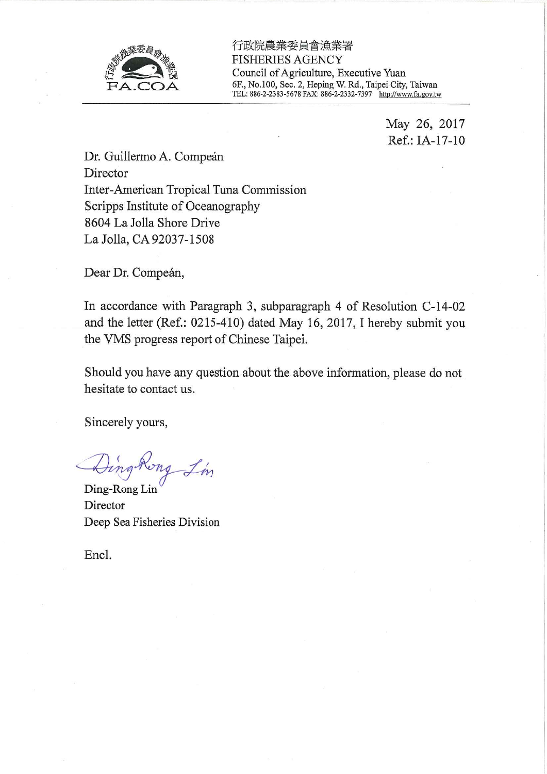

行政院農業委員會漁業署 **FISHERIES AGENCY** Council of Agriculture, Executive Yuan 6F., No.100, Sec. 2, Heping W. Rd., Taipei City, Taiwan TEL: 886-2-2383-5678 FAX: 886-2-2332-7397 http://www.fa.gov.tw

> May 26, 2017 Ref.: IA-17-10

Dr. Guillermo A. Compeán Director Inter-American Tropical Tuna Commission Scripps Institute of Oceanography 8604 La Jolla Shore Drive La Jolla, CA 92037-1508

Dear Dr. Compeán,

In accordance with Paragraph 3, subparagraph 4 of Resolution C-14-02 and the letter (Ref.: 0215-410) dated May 16, 2017, I hereby submit you the VMS progress report of Chinese Taipei.

Should you have any question about the above information, please do not hesitate to contact us.

Sincerely yours,

Dingkong Lin

Ding-Rong Lin Director Deep Sea Fisheries Division

Encl.